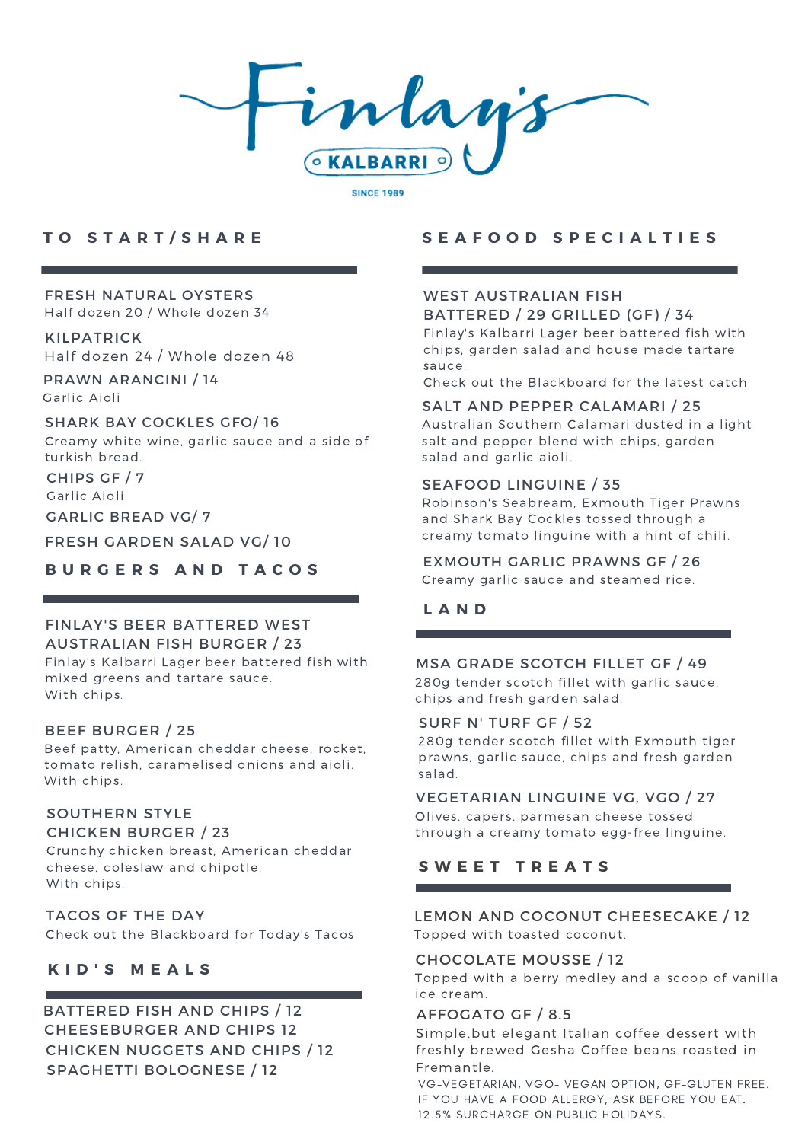

### **T O S T A R T / S H A R E**

# FRESH NATURAL OYSTERS

Half dozen 20 / Whole dozen 34

## KILPATRICK

Half dozen 24 / Whole dozen 48

PRAWN ARANCINI / 14 Garlic Aioli

#### SHARK BAY COCKLES GFO/ 16

Creamy white wine, garlic sauce and a side of turkish bread.

CHIPS GF / 7 Garlic Aioli

GARLIC BREAD VG/ 7

FRESH GARDEN SALAD VG/ 10

**B U R G E R S A N D T A C O S**

#### FINLAY'S BEER BATTERED WEST AUSTRALIAN FISH BURGER / 23

Finlay's Kalbarri Lager beer battered fish with mixed greens and tartare sauce. With chips.

#### BEEF BURGER / 25

Beef patty, American cheddar cheese, rocket, tomato relish, caramelised onions and aioli. With chips.

#### SOUTHERN STYLE CHICKEN BURGER / 23

Crunchy chicken breast, American cheddar cheese, coleslaw and chipotle. With chips.

#### TACOS OF THE DAY

Check out the Blackboard for Today's Tacos

### **K I D ' S M E A L S**

### BATTERED FISH AND CHIPS / 12 CHICKEN NUGGETS AND CHIPS / 12 SPAGHETTI BOLOGNESE / 12 CHEESEBURGER AND CHIPS 12

### **S E A F O O D S P E C I A L T I E S**

#### WEST AUSTRALIAN FISH BATTERED / 29 GRILLED (GF) / 34

Finlay's Kalbarri Lager beer battered fish with chips, garden salad and house made tartare sauce.

Check out the Blackboard for the latest catch

#### SALT AND PEPPER CALAMARI / 25

Australian Southern Calamari dusted in a light salt and pepper blend with chips, garden salad and garlic aioli.

#### SEAFOOD LINGUINE / 35

Robinson's Seabream, Exmouth Tiger Prawns and Shark Bay Cockles tossed through a creamy tomato linguine with a hint of chili.

## EXMOUTH GARLIC PRAWNS GF / 26

Creamy garlic sauce and steamed rice.

### **L A N D**

#### MSA GRADE SCOTCH FILLET GF / 49

280g tender scotch fillet with garlic sauce, chips and fresh garden salad.

#### SURF N' TURF GF / 52

280g tender scotch fillet with Exmouth tiger prawns, garlic sauce, chips and fresh garden salad.

#### VEGETARIAN LINGUINE VG, VGO / 27

Olives, capers, parmesan cheese tossed through a creamy tomato egg-free linguine.

### **S W E E T T R E A T S**

## LEMON AND COCONUT CHEESECAKE / 12

Topped with toasted coconut.

#### CHOCOLATE MOUSSE / 12

Topped with a berry medley and a scoop of vanilla ice cream.

#### AFFOGATO GF / 8.5

Simple,but elegant Italian coffee dessert with freshly brewed Gesha Coffee beans roasted in Fremantle.

VG-VEGETARIAN, VGO- VEGAN OPTION, GF-GLUTEN FREE. IF YOU HAVE A FOOD ALLERGY, ASK BEFORE YOU EAT. 12.5% SURCHARGE ON PUBLIC HOLIDAYS.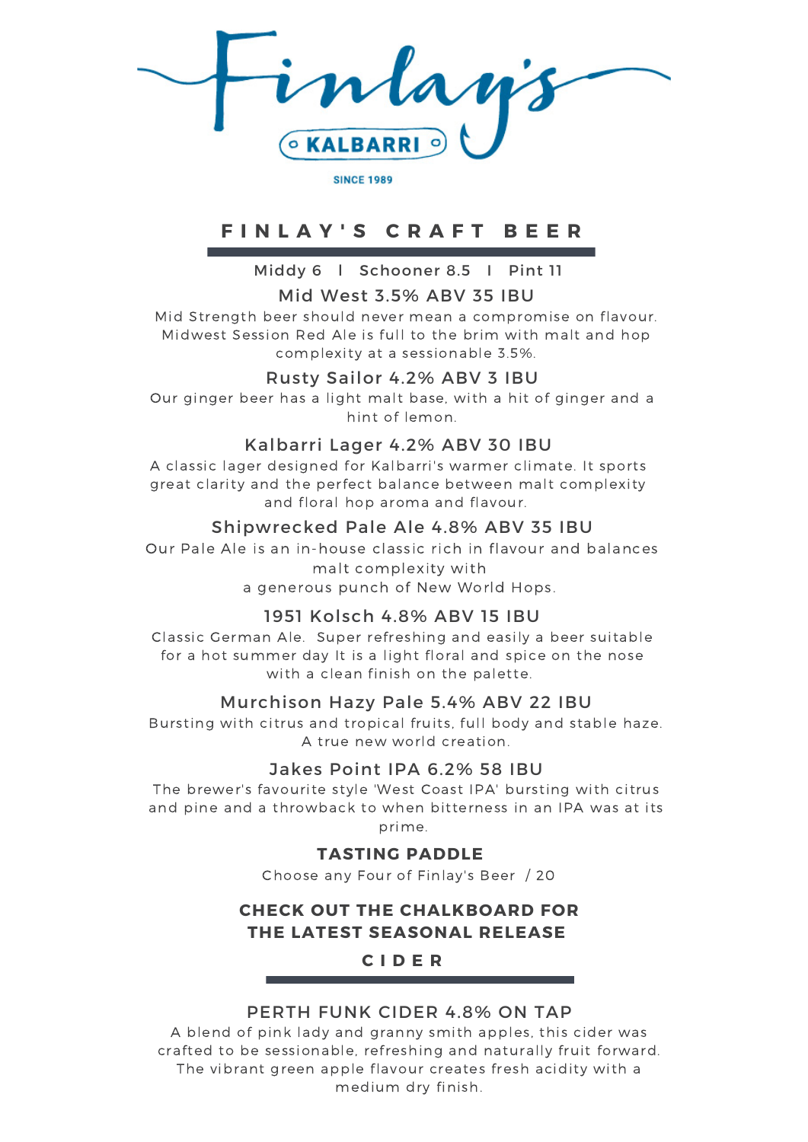**KALBARR** 

**SINCE 1989** 

# **F I N L A Y ' S C R A F T B E E R**

Middy 6 l Schooner 8.5 I Pint 11

## Mid West 3.5% ABV 35 IBU

Mid Strength beer should never mean a compromise on flavour. Midwest Session Red Ale is full to the brim with malt and hop complexity at a sessionable 3.5%.

## Rusty Sailor 4.2% ABV 3 IBU

Our ginger beer has a light malt base, with a hit of ginger and a hint of lemon.

## Kalbarri Lager 4.2% ABV 30 IBU

A classic lager designed for Kalbarri's warmer climate. It sports great clarity and the perfect balance between malt complexity and floral hop aroma and flavour.

## Shipwrecked Pale Ale 4.8% ABV 35 IBU

Our Pale Ale is an in-house classic rich in flavour and balances malt complexity with a generous punch of New World Hops.

## 1951 Kolsch 4.8% ABV 15 IBU

Classic German Ale. Super refreshing and easily a beer suitable for a hot summer day It is a light floral and spice on the nose with a clean finish on the palette.

## Murchison Hazy Pale 5.4% ABV 22 IBU

Bursting with citrus and tropical fruits, full body and stable haze. A true new world creation.

## Jakes Point IPA 6.2% 58 IBU

The brewer's favourite style 'West Coast IPA' bursting with citrus and pine and a throwback to when bitterness in an IPA was at its prime.

## **TASTING PADDLE**

Choose any Four of Finlay's Beer / 20

## **CHECK OUT THE CHALKBOARD FOR THE LATEST SEASONAL RELEASE**

# **C I D E R**

## PERTH FUNK CIDER 4.8% ON TAP

A blend of pink lady and granny smith apples, this cider was crafted to be sessionable, refreshing and naturally fruit forward. The vibrant green apple flavour creates fresh acidity with a medium dry finish.